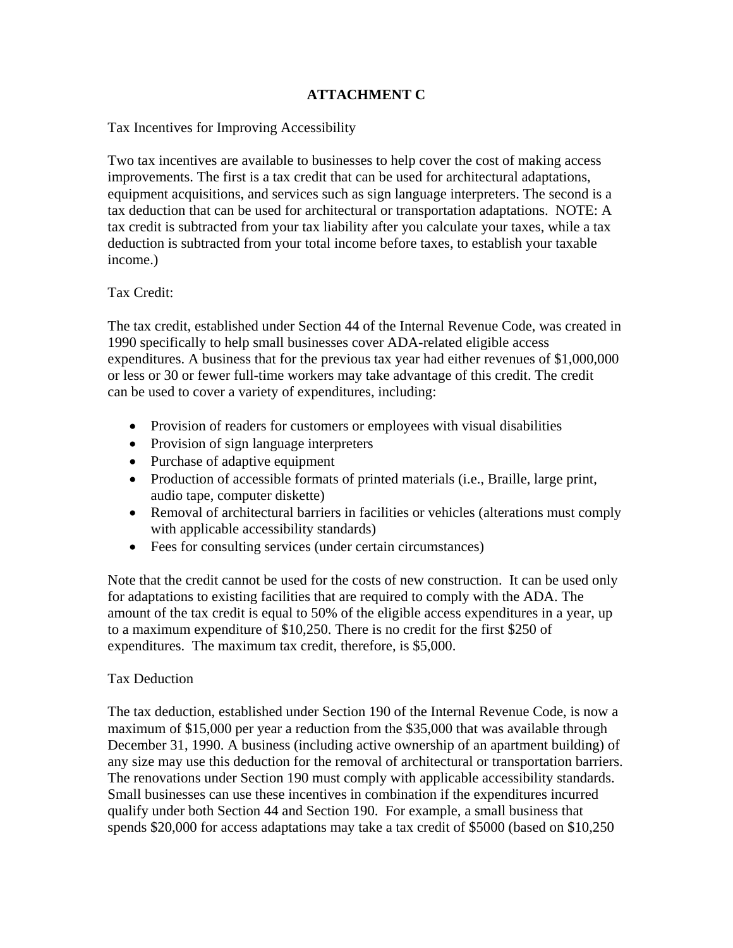## **ATTACHMENT C**

Tax Incentives for Improving Accessibility

Two tax incentives are available to businesses to help cover the cost of making access improvements. The first is a tax credit that can be used for architectural adaptations, equipment acquisitions, and services such as sign language interpreters. The second is a tax deduction that can be used for architectural or transportation adaptations. NOTE: A tax credit is subtracted from your tax liability after you calculate your taxes, while a tax deduction is subtracted from your total income before taxes, to establish your taxable income.)

## Tax Credit:

The tax credit, established under Section 44 of the Internal Revenue Code, was created in 1990 specifically to help small businesses cover ADA-related eligible access expenditures. A business that for the previous tax year had either revenues of \$1,000,000 or less or 30 or fewer full-time workers may take advantage of this credit. The credit can be used to cover a variety of expenditures, including:

- Provision of readers for customers or employees with visual disabilities
- Provision of sign language interpreters
- Purchase of adaptive equipment
- Production of accessible formats of printed materials (i.e., Braille, large print, audio tape, computer diskette)
- Removal of architectural barriers in facilities or vehicles (alterations must comply with applicable accessibility standards)
- Fees for consulting services (under certain circumstances)

Note that the credit cannot be used for the costs of new construction. It can be used only for adaptations to existing facilities that are required to comply with the ADA. The amount of the tax credit is equal to 50% of the eligible access expenditures in a year, up to a maximum expenditure of \$10,250. There is no credit for the first \$250 of expenditures. The maximum tax credit, therefore, is \$5,000.

## Tax Deduction

The tax deduction, established under Section 190 of the Internal Revenue Code, is now a maximum of \$15,000 per year a reduction from the \$35,000 that was available through December 31, 1990. A business (including active ownership of an apartment building) of any size may use this deduction for the removal of architectural or transportation barriers. The renovations under Section 190 must comply with applicable accessibility standards. Small businesses can use these incentives in combination if the expenditures incurred qualify under both Section 44 and Section 190. For example, a small business that spends \$20,000 for access adaptations may take a tax credit of \$5000 (based on \$10,250